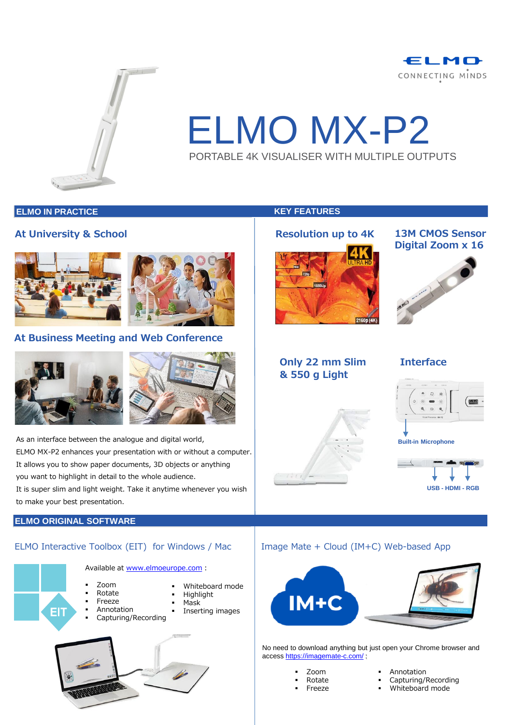



# ELMO MX-P2 PORTABLE 4K VISUALISER WITH MULTIPLE OUTPUTS

#### **ELMO IN PRACTICE KEY FEATURES**

#### **At University & School**





### **At Business Meeting and Web Conference**



As an interface between the analogue and digital world, ELMO MX-P2 enhances your presentation with or without a computer. It allows you to show paper documents, 3D objects or anything you want to highlight in detail to the whole audience.

It is super slim and light weight. Take it anytime whenever you wish to make your best presentation.

#### **ELMO ORIGINAL SOFTWARE**

EIT

#### ELMO Interactive Toolbox (EIT) for Windows / Mac  $\parallel$  Image Mate + Cloud (IM+C) Web-based App



# **Resolution up to 4K**



#### **13M CMOS Sensor Digital Zoom x 16**



### **Only 22 mm Slim & 550 g Light**

### **Interface**







No need to download anything but just open your Chrome browser and access <https://imagemate-c.com/> :

|   | Zoom   |
|---|--------|
| п | Rotate |

- **Freeze**
- Annotation
- Capturing/Recording
- Whiteboard mode